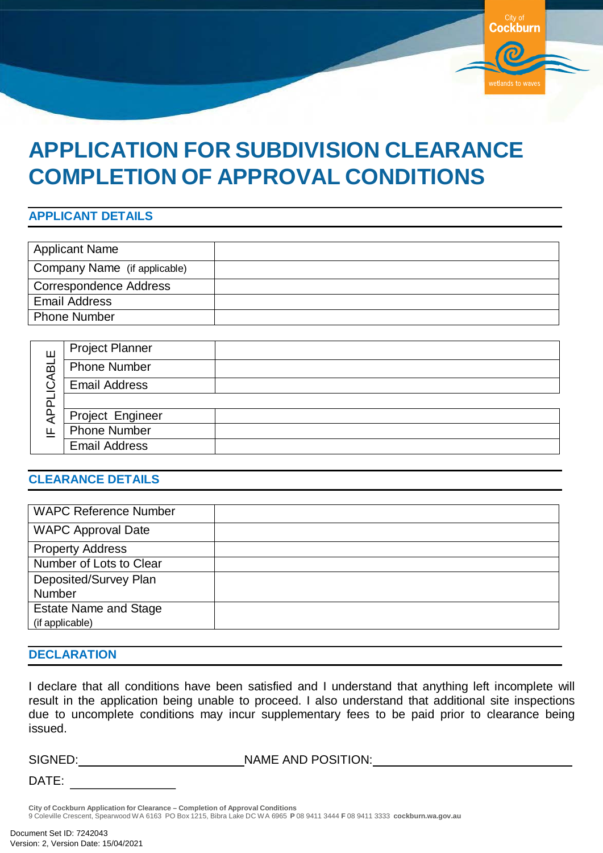# **APPLICATION FOR SUBDIVISION CLEARANCE COMPLETION OF APPROVAL CONDITIONS**

**Cockburn** 

wetlands to way

#### **APPLICANT DETAILS**

| <b>Applicant Name</b>         |  |
|-------------------------------|--|
| Company Name (if applicable)  |  |
| <b>Correspondence Address</b> |  |
| <b>Email Address</b>          |  |
| <b>Phone Number</b>           |  |

| ш<br>$\overline{a}$<br>a<br>$\Omega$ | <b>Project Planner</b> |  |
|--------------------------------------|------------------------|--|
|                                      | <b>Phone Number</b>    |  |
|                                      | <b>Email Address</b>   |  |
|                                      |                        |  |
|                                      | Project Engineer       |  |
|                                      | <b>Phone Number</b>    |  |
|                                      | <b>Email Address</b>   |  |

#### **CLEARANCE DETAILS**

| <b>WAPC Reference Number</b> |  |
|------------------------------|--|
| <b>WAPC Approval Date</b>    |  |
| <b>Property Address</b>      |  |
| Number of Lots to Clear      |  |
| Deposited/Survey Plan        |  |
| Number                       |  |
| <b>Estate Name and Stage</b> |  |
| (if applicable)              |  |

#### **DECLARATION**

I declare that all conditions have been satisfied and I understand that anything left incomplete will result in the application being unable to proceed. I also understand that additional site inspections due to uncomplete conditions may incur supplementary fees to be paid prior to clearance being issued.

SIGNED: NAME AND POSITION:

DATE:

9 Coleville Crescent, Spearwood WA 6163 PO Box 1215, Bibra Lake DC WA 6965 **P** 08 9411 3444 **F** 08 9411 3333 **cockburn.wa.gov.au**

**City of Cockburn Application for Clearance – Completion of Approval Conditions**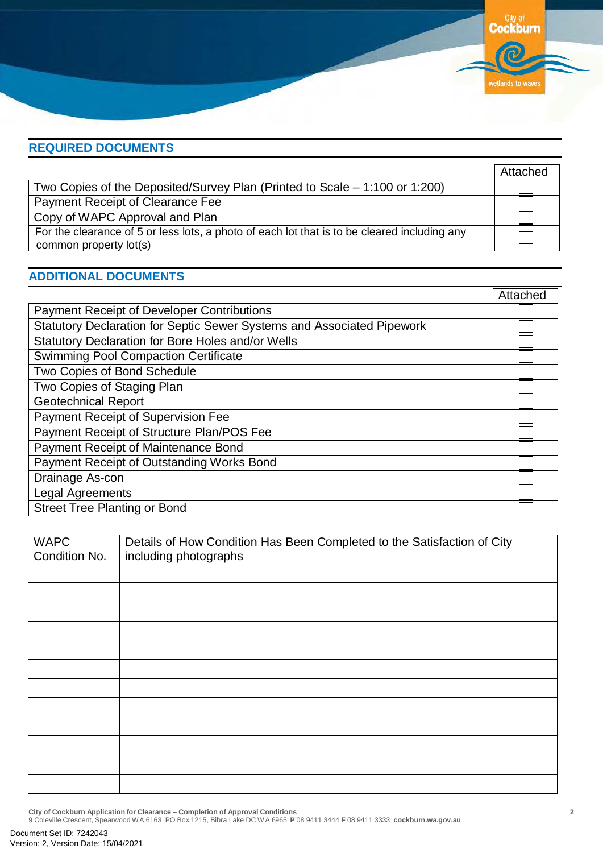## **REQUIRED DOCUMENTS**

|                                                                                                                        | Attached |
|------------------------------------------------------------------------------------------------------------------------|----------|
| Two Copies of the Deposited/Survey Plan (Printed to Scale – 1:100 or 1:200)                                            |          |
| Payment Receipt of Clearance Fee                                                                                       |          |
| Copy of WAPC Approval and Plan                                                                                         |          |
| For the clearance of 5 or less lots, a photo of each lot that is to be cleared including any<br>common property lot(s) |          |

### **ADDITIONAL DOCUMENTS**

|                                                                        | Attached |
|------------------------------------------------------------------------|----------|
| <b>Payment Receipt of Developer Contributions</b>                      |          |
| Statutory Declaration for Septic Sewer Systems and Associated Pipework |          |
| Statutory Declaration for Bore Holes and/or Wells                      |          |
| <b>Swimming Pool Compaction Certificate</b>                            |          |
| Two Copies of Bond Schedule                                            |          |
| Two Copies of Staging Plan                                             |          |
| <b>Geotechnical Report</b>                                             |          |
| Payment Receipt of Supervision Fee                                     |          |
| Payment Receipt of Structure Plan/POS Fee                              |          |
| Payment Receipt of Maintenance Bond                                    |          |
| Payment Receipt of Outstanding Works Bond                              |          |
| Drainage As-con                                                        |          |
| Legal Agreements                                                       |          |
| <b>Street Tree Planting or Bond</b>                                    |          |

| <b>WAPC</b><br>Condition No. | Details of How Condition Has Been Completed to the Satisfaction of City<br>including photographs |
|------------------------------|--------------------------------------------------------------------------------------------------|
|                              |                                                                                                  |
|                              |                                                                                                  |
|                              |                                                                                                  |
|                              |                                                                                                  |
|                              |                                                                                                  |
|                              |                                                                                                  |
|                              |                                                                                                  |
|                              |                                                                                                  |
|                              |                                                                                                  |
|                              |                                                                                                  |
|                              |                                                                                                  |
|                              |                                                                                                  |

City of Cockburn Application for Clearance – Completion of Approval Conditions<br>9 Coleville Crescent, Spearwood W A 6163 PO Box 1215, Bibra Lake DC W A 6965 P 08 9411 3444 F 08 9411 3333 cockburn.wa.gov.au

City of<br>Cockburn

wetlands to wave